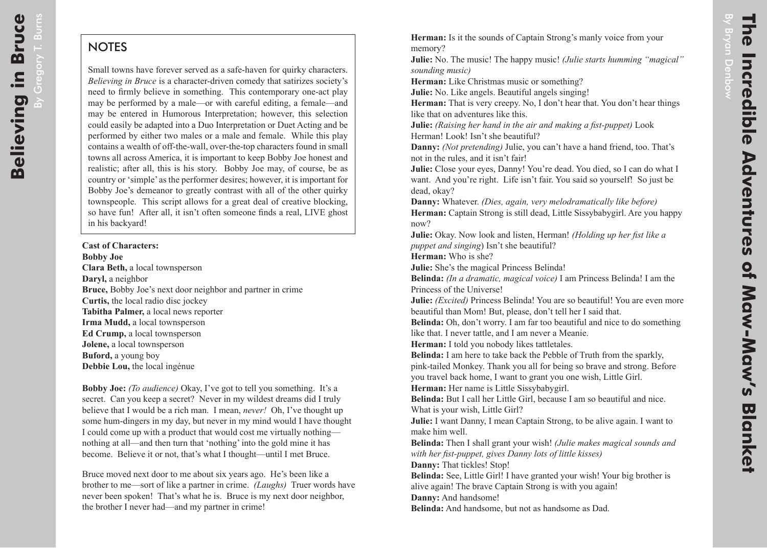$\overline{B}$ 

Gregory

T. Burns

## **NOTES**

Small towns have forever served as a safe-haven for quirky characters. *Believing in Bruce* is a character-driven comedy that satirizes society's need to firmly believe in something. This contemporary one-act play may be performed by a male—or with careful editing, a female—and may be entered in Humorous Interpretation; however, this selection could easily be adapted into a Duo Interpretation or Duet Acting and be performed by either two males or a male and female. While this play contains a wealth of off-the-wall, over-the-top characters found in small towns all across America, it is important to keep Bobby Joe honest and realistic; after all, this is his story. Bobby Joe may, of course, be as country or 'simple' as the performer desires; however, it is important for Bobby Joe's demeanor to greatly contrast with all of the other quirky townspeople. This script allows for a great deal of creative blocking, so have fun! After all, it isn't often someone finds a real, LIVE ghost in his backyard!

**Cast of Characters: Bobby Joe Clara Beth,** a local townsperson **Daryl,** a neighbor **Bruce,** Bobby Joe's next door neighbor and partner in crime **Curtis,** the local radio disc jockey **Tabitha Palmer,** a local news reporter **Irma Mudd,** a local townsperson **Ed Crump,** a local townsperson **Jolene,** a local townsperson **Buford,** a young boy **Debbie Lou,** the local ingénue

**Bobby Joe:** *(To audience)* Okay, I've got to tell you something. It's a secret. Can you keep a secret? Never in my wildest dreams did I truly believe that I would be a rich man. I mean, *never!* Oh, I've thought up some hum-dingers in my day, but never in my mind would I have thought I could come up with a product that would cost me virtually nothing nothing at all—and then turn that 'nothing' into the gold mine it has become. Believe it or not, that's what I thought—until I met Bruce.

Bruce moved next door to me about six years ago. He's been like a brother to me—sort of like a partner in crime. *(Laughs)* Truer words have never been spoken! That's what he is. Bruce is my next door neighbor, the brother I never had—and my partner in crime!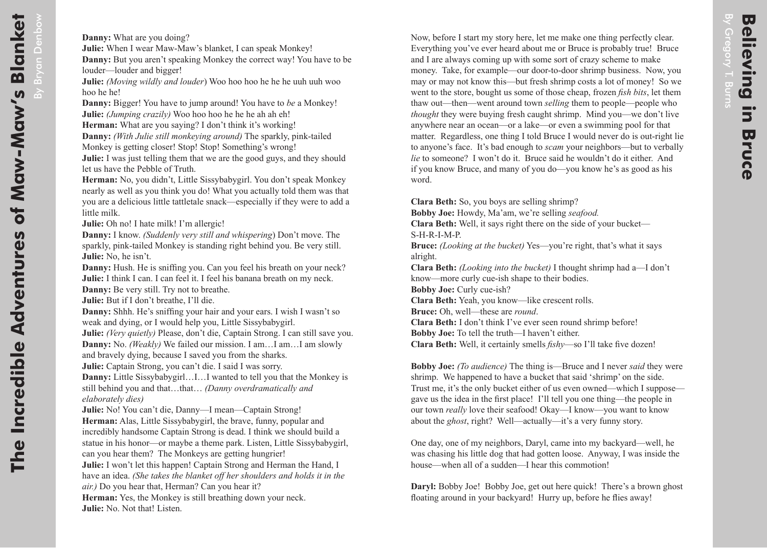Now, before I start my story here, let me make one thing perfectly clear. Everything you've ever heard about me or Bruce is probably true! Bruce and I are always coming up with some sort of crazy scheme to make money. Take, for example—our door-to-door shrimp business. Now, you may or may not know this—but fresh shrimp costs a lot of money! So we went to the store, bought us some of those cheap, frozen *fish bits*, let them thaw out—then—went around town *selling* them to people—people who *thought* they were buying fresh caught shrimp. Mind you—we don't live anywhere near an ocean—or a lake—or even a swimming pool for that matter. Regardless, one thing I told Bruce I would never do is out-right lie to anyone's face. It's bad enough to *scam* your neighbors—but to verbally *lie* to someone? I won't do it. Bruce said he wouldn't do it either. And if you know Bruce, and many of you do—you know he's as good as his word.

**Clara Beth:** So, you boys are selling shrimp? **Bobby Joe:** Howdy, Ma'am, we're selling *seafood.*

**Clara Beth:** Well, it says right there on the side of your bucket— S-H-R-I-M-P.

**Bruce:** *(Looking at the bucket)* Yes—you're right, that's what it says alright.

**Clara Beth:** *(Looking into the bucket)* I thought shrimp had a—I don't know—more curly cue-ish shape to their bodies.

**Bobby Joe:** Curly cue-ish?

**Clara Beth:** Yeah, you know—like crescent rolls.

**Bruce:** Oh, well—these are *round*.

**Clara Beth:** I don't think I've ever seen round shrimp before!

**Bobby Joe:** To tell the truth—I haven't either.

**Clara Beth:** Well, it certainly smells *fishy*—so I'll take five dozen!

**Bobby Joe:** *(To audience)* The thing is—Bruce and I never *said* they were shrimp. We happened to have a bucket that said 'shrimp' on the side. Trust me, it's the only bucket either of us even owned—which I suppose gave us the idea in the first place! I'll tell you one thing—the people in our town *really* love their seafood! Okay—I know—you want to know about the *ghost*, right? Well—actually—it's a very funny story.

One day, one of my neighbors, Daryl, came into my backyard—well, he was chasing his little dog that had gotten loose. Anyway, I was inside the house—when all of a sudden—I hear this commotion!

**Daryl:** Bobby Joe! Bobby Joe, get out here quick! There's a brown ghost floating around in your backyard! Hurry up, before he flies away!